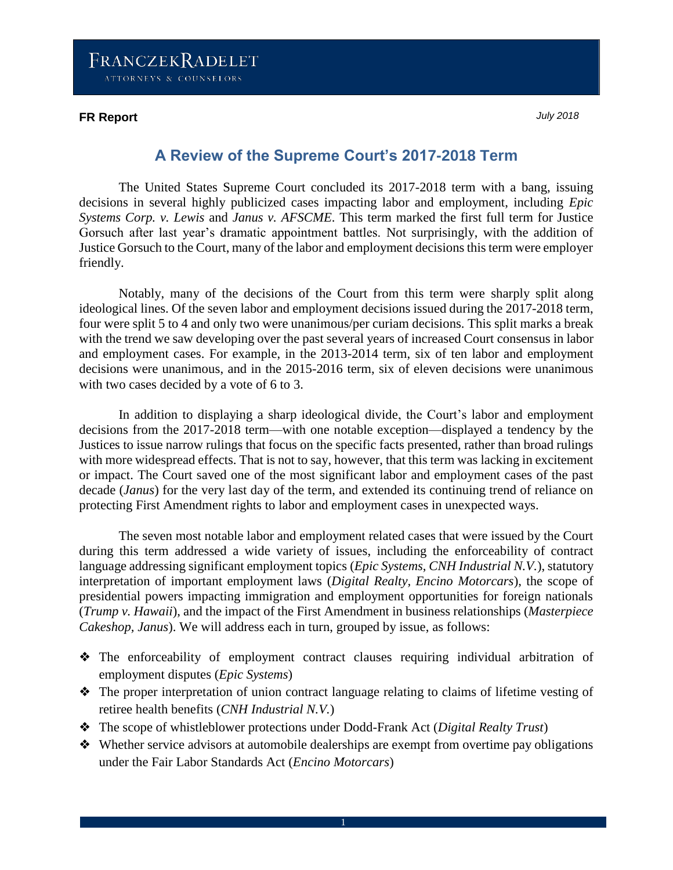#### **FR Report** *July 2018*

# **A Review of the Supreme Court's 2017-2018 Term**

The United States Supreme Court concluded its 2017-2018 term with a bang, issuing decisions in several highly publicized cases impacting labor and employment, including *Epic Systems Corp. v. Lewis* and *Janus v. AFSCME*. This term marked the first full term for Justice Gorsuch after last year's dramatic appointment battles. Not surprisingly, with the addition of Justice Gorsuch to the Court, many of the labor and employment decisions this term were employer friendly.

Notably, many of the decisions of the Court from this term were sharply split along ideological lines. Of the seven labor and employment decisions issued during the 2017-2018 term, four were split 5 to 4 and only two were unanimous/per curiam decisions. This split marks a break with the trend we saw developing over the past several years of increased Court consensus in labor and employment cases. For example, in the 2013-2014 term, six of ten labor and employment decisions were unanimous, and in the 2015-2016 term, six of eleven decisions were unanimous with two cases decided by a vote of 6 to 3.

In addition to displaying a sharp ideological divide, the Court's labor and employment decisions from the 2017-2018 term—with one notable exception—displayed a tendency by the Justices to issue narrow rulings that focus on the specific facts presented, rather than broad rulings with more widespread effects. That is not to say, however, that this term was lacking in excitement or impact. The Court saved one of the most significant labor and employment cases of the past decade (*Janus*) for the very last day of the term, and extended its continuing trend of reliance on protecting First Amendment rights to labor and employment cases in unexpected ways.

The seven most notable labor and employment related cases that were issued by the Court during this term addressed a wide variety of issues, including the enforceability of contract language addressing significant employment topics (*Epic Systems*, *CNH Industrial N.V.*), statutory interpretation of important employment laws (*Digital Realty, Encino Motorcars*), the scope of presidential powers impacting immigration and employment opportunities for foreign nationals (*Trump v. Hawaii*), and the impact of the First Amendment in business relationships (*Masterpiece Cakeshop, Janus*). We will address each in turn, grouped by issue, as follows:

- ❖ The enforceability of employment contract clauses requiring individual arbitration of employment disputes (*Epic Systems*)
- ❖ The proper interpretation of union contract language relating to claims of lifetime vesting of retiree health benefits (*CNH Industrial N.V.*)
- ❖ The scope of whistleblower protections under Dodd-Frank Act (*Digital Realty Trust*)
- ❖ Whether service advisors at automobile dealerships are exempt from overtime pay obligations under the Fair Labor Standards Act (*Encino Motorcars*)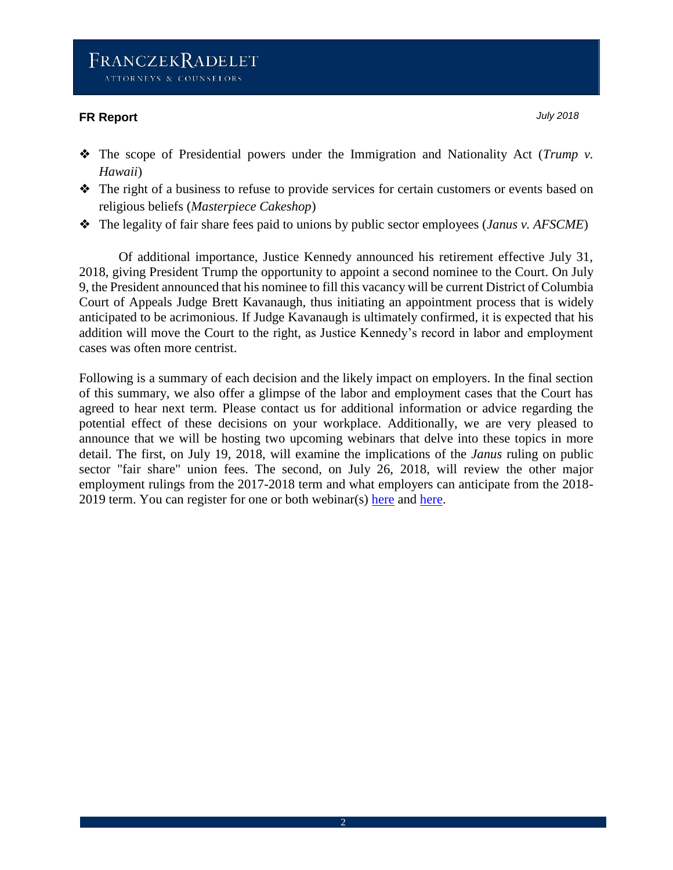#### **FR Report** *July 2018*

- ❖ The scope of Presidential powers under the Immigration and Nationality Act (*Trump v. Hawaii*)
- ❖ The right of a business to refuse to provide services for certain customers or events based on religious beliefs (*Masterpiece Cakeshop*)
- ❖ The legality of fair share fees paid to unions by public sector employees (*Janus v. AFSCME*)

Of additional importance, Justice Kennedy announced his retirement effective July 31, 2018, giving President Trump the opportunity to appoint a second nominee to the Court. On July 9, the President announced that his nominee to fill this vacancy will be current District of Columbia Court of Appeals Judge Brett Kavanaugh, thus initiating an appointment process that is widely anticipated to be acrimonious. If Judge Kavanaugh is ultimately confirmed, it is expected that his addition will move the Court to the right, as Justice Kennedy's record in labor and employment cases was often more centrist.

Following is a summary of each decision and the likely impact on employers. In the final section of this summary, we also offer a glimpse of the labor and employment cases that the Court has agreed to hear next term. Please contact us for additional information or advice regarding the potential effect of these decisions on your workplace. Additionally, we are very pleased to announce that we will be hosting two upcoming webinars that delve into these topics in more detail. The first, on July 19, 2018, will examine the implications of the *Janus* ruling on public sector "fair share" union fees. The second, on July 26, 2018, will review the other major employment rulings from the 2017-2018 term and what employers can anticipate from the 2018- 2019 term. You can register for one or both webinar(s) [here](http://www.franczek.com/news-events-795.html) and [here.](http://www.franczek.com/news-events-796.html)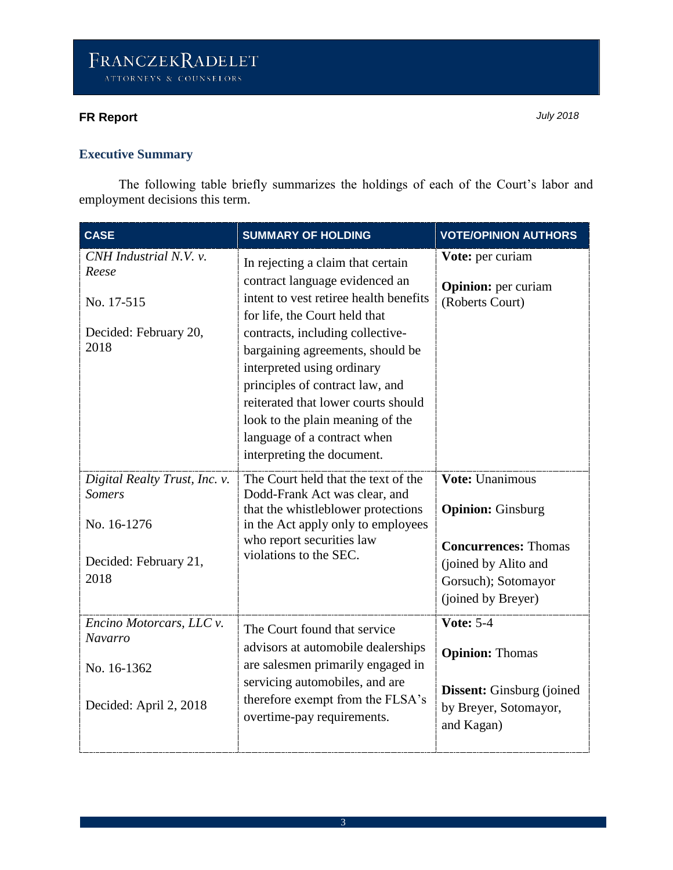## **Executive Summary**

The following table briefly summarizes the holdings of each of the Court's labor and employment decisions this term.

| <b>CASE</b>                                                                                    | <b>SUMMARY OF HOLDING</b>                                                                                                                                                                                                                                                                                                                                                                                                       | <b>VOTE/OPINION AUTHORS</b>                                                                                                                     |
|------------------------------------------------------------------------------------------------|---------------------------------------------------------------------------------------------------------------------------------------------------------------------------------------------------------------------------------------------------------------------------------------------------------------------------------------------------------------------------------------------------------------------------------|-------------------------------------------------------------------------------------------------------------------------------------------------|
| CNH Industrial N.V. v.<br>Reese<br>No. 17-515<br>Decided: February 20,<br>2018                 | In rejecting a claim that certain<br>contract language evidenced an<br>intent to vest retiree health benefits<br>for life, the Court held that<br>contracts, including collective-<br>bargaining agreements, should be<br>interpreted using ordinary<br>principles of contract law, and<br>reiterated that lower courts should<br>look to the plain meaning of the<br>language of a contract when<br>interpreting the document. | Vote: per curiam<br><b>Opinion:</b> per curiam<br>(Roberts Court)                                                                               |
| Digital Realty Trust, Inc. v.<br><b>Somers</b><br>No. 16-1276<br>Decided: February 21,<br>2018 | The Court held that the text of the<br>Dodd-Frank Act was clear, and<br>that the whistleblower protections<br>in the Act apply only to employees<br>who report securities law<br>violations to the SEC.                                                                                                                                                                                                                         | Vote: Unanimous<br><b>Opinion:</b> Ginsburg<br><b>Concurrences: Thomas</b><br>(joined by Alito and<br>Gorsuch); Sotomayor<br>(joined by Breyer) |
| Encino Motorcars, LLC v.<br><b>Navarro</b><br>No. 16-1362<br>Decided: April 2, 2018            | The Court found that service<br>advisors at automobile dealerships<br>are salesmen primarily engaged in<br>servicing automobiles, and are<br>therefore exempt from the FLSA's<br>overtime-pay requirements.                                                                                                                                                                                                                     | <b>Vote: 5-4</b><br><b>Opinion: Thomas</b><br><b>Dissent:</b> Ginsburg (joined)<br>by Breyer, Sotomayor,<br>and Kagan)                          |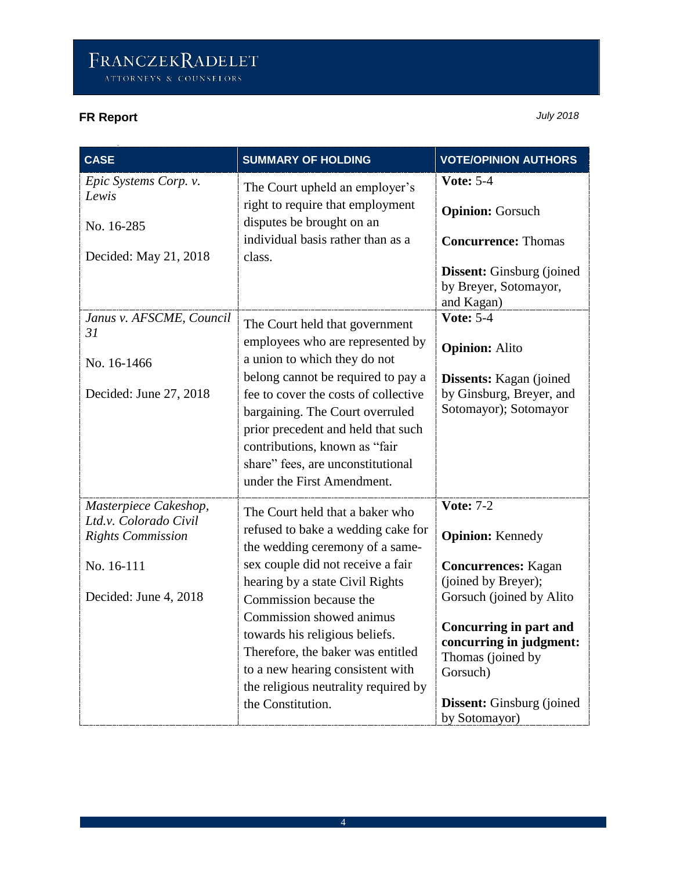| <b>CASE</b>                                                                                                       | <b>SUMMARY OF HOLDING</b>                                                                                                                                                                                                                                                                                                                                                                                      | <b>VOTE/OPINION AUTHORS</b>                                                                                                                                                                                                                                                     |
|-------------------------------------------------------------------------------------------------------------------|----------------------------------------------------------------------------------------------------------------------------------------------------------------------------------------------------------------------------------------------------------------------------------------------------------------------------------------------------------------------------------------------------------------|---------------------------------------------------------------------------------------------------------------------------------------------------------------------------------------------------------------------------------------------------------------------------------|
| Epic Systems Corp. v.<br>Lewis<br>No. 16-285<br>Decided: May 21, 2018                                             | The Court upheld an employer's<br>right to require that employment<br>disputes be brought on an<br>individual basis rather than as a<br>class.                                                                                                                                                                                                                                                                 | <b>Vote: 5-4</b><br><b>Opinion: Gorsuch</b><br><b>Concurrence: Thomas</b><br><b>Dissent:</b> Ginsburg (joined)<br>by Breyer, Sotomayor,<br>and Kagan)                                                                                                                           |
| Janus v. AFSCME, Council<br>31<br>No. 16-1466<br>Decided: June 27, 2018                                           | The Court held that government<br>employees who are represented by<br>a union to which they do not<br>belong cannot be required to pay a<br>fee to cover the costs of collective<br>bargaining. The Court overruled<br>prior precedent and held that such<br>contributions, known as "fair<br>share" fees, are unconstitutional<br>under the First Amendment.                                                  | <b>Vote: 5-4</b><br><b>Opinion: Alito</b><br><b>Dissents:</b> Kagan (joined)<br>by Ginsburg, Breyer, and<br>Sotomayor); Sotomayor                                                                                                                                               |
| Masterpiece Cakeshop,<br>Ltd.v. Colorado Civil<br><b>Rights Commission</b><br>No. 16-111<br>Decided: June 4, 2018 | The Court held that a baker who<br>refused to bake a wedding cake for<br>the wedding ceremony of a same-<br>sex couple did not receive a fair<br>hearing by a state Civil Rights<br>Commission because the<br>Commission showed animus<br>towards his religious beliefs.<br>Therefore, the baker was entitled<br>to a new hearing consistent with<br>the religious neutrality required by<br>the Constitution. | <b>Vote: 7-2</b><br><b>Opinion:</b> Kennedy<br><b>Concurrences:</b> Kagan<br>(joined by Breyer);<br>Gorsuch (joined by Alito<br><b>Concurring in part and</b><br>concurring in judgment:<br>Thomas (joined by<br>Gorsuch)<br><b>Dissent:</b> Ginsburg (joined)<br>by Sotomayor) |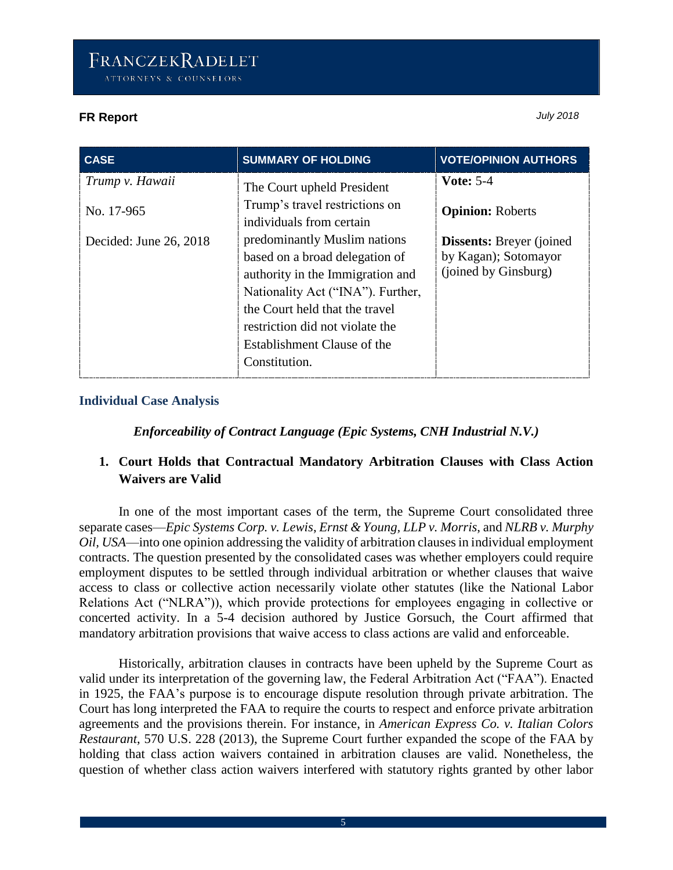| <b>CASE</b>            | <b>SUMMARY OF HOLDING</b>                                                                                                                                                                                                                                    | <b>VOTE/OPINION AUTHORS</b>                                                      |
|------------------------|--------------------------------------------------------------------------------------------------------------------------------------------------------------------------------------------------------------------------------------------------------------|----------------------------------------------------------------------------------|
| Trump v. Hawaii        | The Court upheld President                                                                                                                                                                                                                                   | <b>Vote: 5-4</b>                                                                 |
| No. 17-965             | Trump's travel restrictions on<br>individuals from certain                                                                                                                                                                                                   | <b>Opinion: Roberts</b>                                                          |
| Decided: June 26, 2018 | predominantly Muslim nations<br>based on a broad delegation of<br>authority in the Immigration and<br>Nationality Act ("INA"). Further,<br>the Court held that the travel<br>restriction did not violate the<br>Establishment Clause of the<br>Constitution. | <b>Dissents:</b> Breyer (joined)<br>by Kagan); Sotomayor<br>(joined by Ginsburg) |

### **Individual Case Analysis**

*Enforceability of Contract Language (Epic Systems, CNH Industrial N.V.)*

## **1. Court Holds that Contractual Mandatory Arbitration Clauses with Class Action Waivers are Valid**

In one of the most important cases of the term, the Supreme Court consolidated three separate cases—*Epic Systems Corp. v. Lewis*, *Ernst & Young, LLP v. Morris*, and *NLRB v. Murphy Oil, USA*—into one opinion addressing the validity of arbitration clauses in individual employment contracts. The question presented by the consolidated cases was whether employers could require employment disputes to be settled through individual arbitration or whether clauses that waive access to class or collective action necessarily violate other statutes (like the National Labor Relations Act ("NLRA")), which provide protections for employees engaging in collective or concerted activity. In a 5-4 decision authored by Justice Gorsuch, the Court affirmed that mandatory arbitration provisions that waive access to class actions are valid and enforceable.

Historically, arbitration clauses in contracts have been upheld by the Supreme Court as valid under its interpretation of the governing law, the Federal Arbitration Act ("FAA"). Enacted in 1925, the FAA's purpose is to encourage dispute resolution through private arbitration. The Court has long interpreted the FAA to require the courts to respect and enforce private arbitration agreements and the provisions therein. For instance, in *American Express Co. v. Italian Colors Restaurant*, 570 U.S. 228 (2013), the Supreme Court further expanded the scope of the FAA by holding that class action waivers contained in arbitration clauses are valid. Nonetheless, the question of whether class action waivers interfered with statutory rights granted by other labor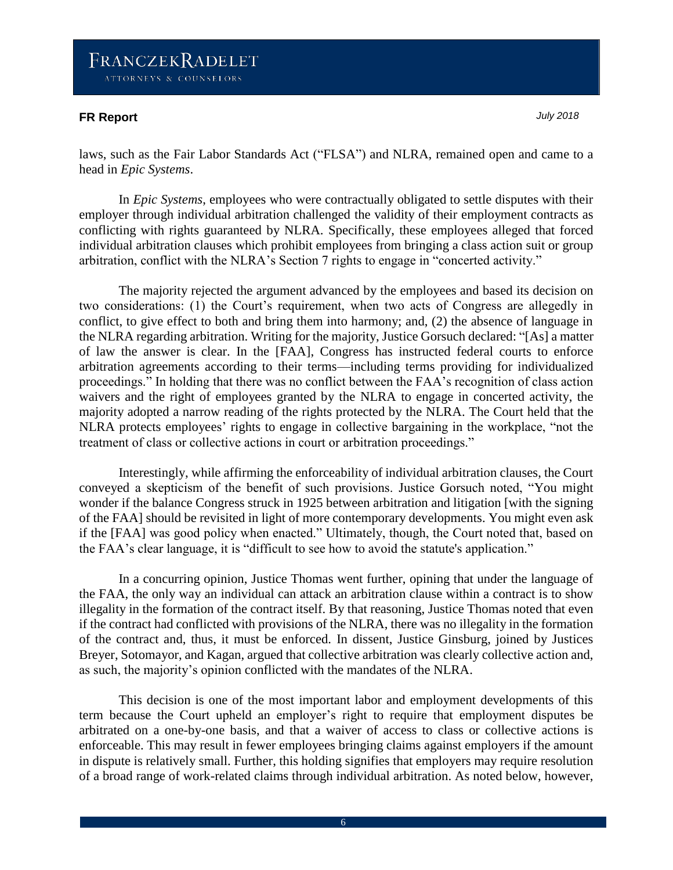### **FR Report** *July 2018*

laws, such as the Fair Labor Standards Act ("FLSA") and NLRA, remained open and came to a head in *Epic Systems*.

In *Epic Systems*, employees who were contractually obligated to settle disputes with their employer through individual arbitration challenged the validity of their employment contracts as conflicting with rights guaranteed by NLRA. Specifically, these employees alleged that forced individual arbitration clauses which prohibit employees from bringing a class action suit or group arbitration, conflict with the NLRA's Section 7 rights to engage in "concerted activity."

The majority rejected the argument advanced by the employees and based its decision on two considerations: (1) the Court's requirement, when two acts of Congress are allegedly in conflict, to give effect to both and bring them into harmony; and, (2) the absence of language in the NLRA regarding arbitration. Writing for the majority, Justice Gorsuch declared: "[As] a matter of law the answer is clear. In the [FAA], Congress has instructed federal courts to enforce arbitration agreements according to their terms—including terms providing for individualized proceedings." In holding that there was no conflict between the FAA's recognition of class action waivers and the right of employees granted by the NLRA to engage in concerted activity, the majority adopted a narrow reading of the rights protected by the NLRA. The Court held that the NLRA protects employees' rights to engage in collective bargaining in the workplace, "not the treatment of class or collective actions in court or arbitration proceedings."

Interestingly, while affirming the enforceability of individual arbitration clauses, the Court conveyed a skepticism of the benefit of such provisions. Justice Gorsuch noted, "You might wonder if the balance Congress struck in 1925 between arbitration and litigation [with the signing of the FAA] should be revisited in light of more contemporary developments. You might even ask if the [FAA] was good policy when enacted." Ultimately, though, the Court noted that, based on the FAA's clear language, it is "difficult to see how to avoid the statute's application."

In a concurring opinion, Justice Thomas went further, opining that under the language of the FAA, the only way an individual can attack an arbitration clause within a contract is to show illegality in the formation of the contract itself. By that reasoning, Justice Thomas noted that even if the contract had conflicted with provisions of the NLRA, there was no illegality in the formation of the contract and, thus, it must be enforced. In dissent, Justice Ginsburg, joined by Justices Breyer, Sotomayor, and Kagan, argued that collective arbitration was clearly collective action and, as such, the majority's opinion conflicted with the mandates of the NLRA.

This decision is one of the most important labor and employment developments of this term because the Court upheld an employer's right to require that employment disputes be arbitrated on a one-by-one basis, and that a waiver of access to class or collective actions is enforceable. This may result in fewer employees bringing claims against employers if the amount in dispute is relatively small. Further, this holding signifies that employers may require resolution of a broad range of work-related claims through individual arbitration. As noted below, however,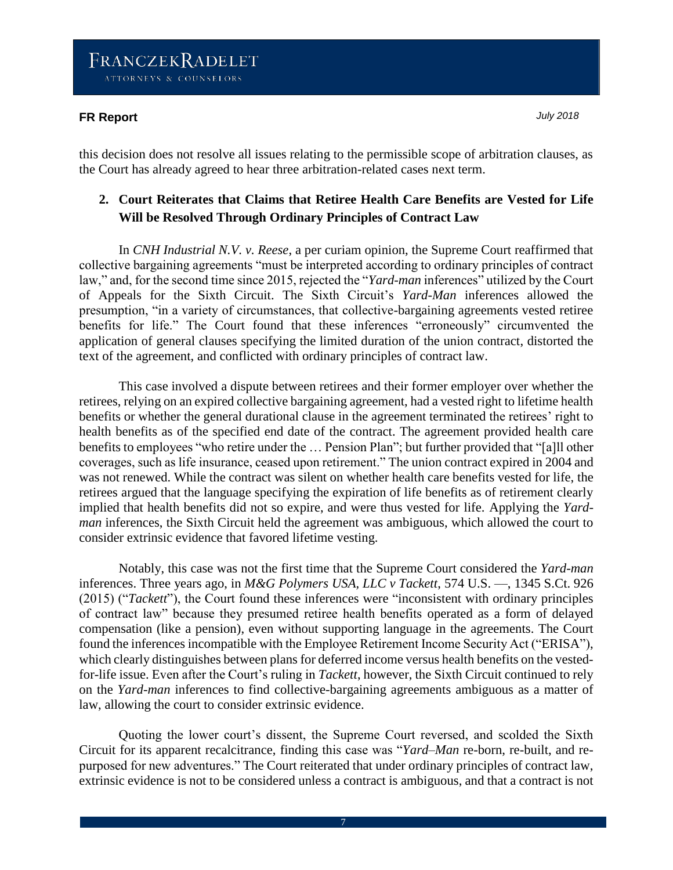this decision does not resolve all issues relating to the permissible scope of arbitration clauses, as the Court has already agreed to hear three arbitration-related cases next term.

### **2. Court Reiterates that Claims that Retiree Health Care Benefits are Vested for Life Will be Resolved Through Ordinary Principles of Contract Law**

In *CNH Industrial N.V. v. Reese*, a per curiam opinion, the Supreme Court reaffirmed that collective bargaining agreements "must be interpreted according to ordinary principles of contract law," and, for the second time since 2015, rejected the "*Yard-man* inferences" utilized by the Court of Appeals for the Sixth Circuit. The Sixth Circuit's *Yard-Man* inferences allowed the presumption, "in a variety of circumstances, that collective-bargaining agreements vested retiree benefits for life." The Court found that these inferences "erroneously" circumvented the application of general clauses specifying the limited duration of the union contract, distorted the text of the agreement, and conflicted with ordinary principles of contract law.

This case involved a dispute between retirees and their former employer over whether the retirees, relying on an expired collective bargaining agreement, had a vested right to lifetime health benefits or whether the general durational clause in the agreement terminated the retirees' right to health benefits as of the specified end date of the contract. The agreement provided health care benefits to employees "who retire under the … Pension Plan"; but further provided that "[a]ll other coverages, such as life insurance, ceased upon retirement." The union contract expired in 2004 and was not renewed. While the contract was silent on whether health care benefits vested for life, the retirees argued that the language specifying the expiration of life benefits as of retirement clearly implied that health benefits did not so expire, and were thus vested for life. Applying the *Yardman* inferences, the Sixth Circuit held the agreement was ambiguous, which allowed the court to consider extrinsic evidence that favored lifetime vesting.

Notably, this case was not the first time that the Supreme Court considered the *Yard-man* inferences. Three years ago, in *M&G Polymers USA, LLC v Tackett*, 574 U.S. ––, 1345 S.Ct. 926 (2015) ("*Tackett*"), the Court found these inferences were "inconsistent with ordinary principles of contract law" because they presumed retiree health benefits operated as a form of delayed compensation (like a pension), even without supporting language in the agreements. The Court found the inferences incompatible with the Employee Retirement Income Security Act ("ERISA"), which clearly distinguishes between plans for deferred income versus health benefits on the vestedfor-life issue. Even after the Court's ruling in *Tackett*, however, the Sixth Circuit continued to rely on the *Yard-man* inferences to find collective-bargaining agreements ambiguous as a matter of law, allowing the court to consider extrinsic evidence.

Quoting the lower court's dissent, the Supreme Court reversed, and scolded the Sixth Circuit for its apparent recalcitrance, finding this case was "*Yard–Man* re-born, re-built, and repurposed for new adventures." The Court reiterated that under ordinary principles of contract law, extrinsic evidence is not to be considered unless a contract is ambiguous, and that a contract is not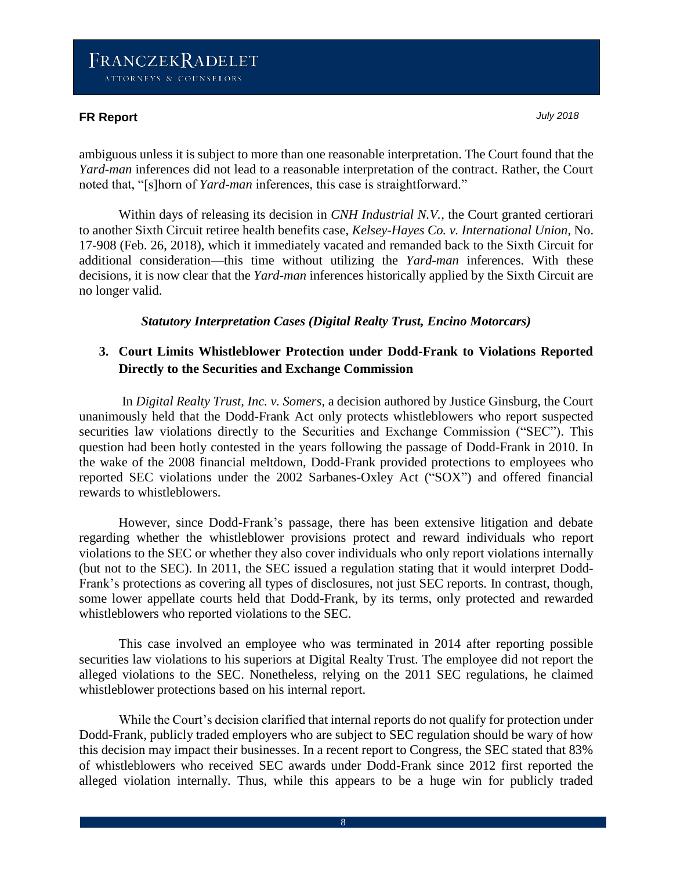#### **FR Report** *July 2018*

ambiguous unless it is subject to more than one reasonable interpretation. The Court found that the *Yard-man* inferences did not lead to a reasonable interpretation of the contract. Rather, the Court noted that, "[s]horn of *Yard-man* inferences, this case is straightforward."

Within days of releasing its decision in *CNH Industrial N.V.*, the Court granted certiorari to another Sixth Circuit retiree health benefits case, *Kelsey-Hayes Co. v. International Union*, No. 17-908 (Feb. 26, 2018), which it immediately vacated and remanded back to the Sixth Circuit for additional consideration—this time without utilizing the *Yard-man* inferences. With these decisions, it is now clear that the *Yard-man* inferences historically applied by the Sixth Circuit are no longer valid.

### *Statutory Interpretation Cases (Digital Realty Trust, Encino Motorcars)*

### **3. Court Limits Whistleblower Protection under Dodd-Frank to Violations Reported Directly to the Securities and Exchange Commission**

In *Digital Realty Trust, Inc. v. Somers*, a decision authored by Justice Ginsburg, the Court unanimously held that the Dodd-Frank Act only protects whistleblowers who report suspected securities law violations directly to the Securities and Exchange Commission ("SEC"). This question had been hotly contested in the years following the passage of Dodd-Frank in 2010. In the wake of the 2008 financial meltdown, Dodd-Frank provided protections to employees who reported SEC violations under the 2002 Sarbanes-Oxley Act ("SOX") and offered financial rewards to whistleblowers.

However, since Dodd-Frank's passage, there has been extensive litigation and debate regarding whether the whistleblower provisions protect and reward individuals who report violations to the SEC or whether they also cover individuals who only report violations internally (but not to the SEC). In 2011, the SEC issued a regulation stating that it would interpret Dodd-Frank's protections as covering all types of disclosures, not just SEC reports. In contrast, though, some lower appellate courts held that Dodd-Frank, by its terms, only protected and rewarded whistleblowers who reported violations to the SEC.

This case involved an employee who was terminated in 2014 after reporting possible securities law violations to his superiors at Digital Realty Trust. The employee did not report the alleged violations to the SEC. Nonetheless, relying on the 2011 SEC regulations, he claimed whistleblower protections based on his internal report.

While the Court's decision clarified that internal reports do not qualify for protection under Dodd-Frank, publicly traded employers who are subject to SEC regulation should be wary of how this decision may impact their businesses. In a recent report to Congress, the SEC stated that 83% of whistleblowers who received SEC awards under Dodd-Frank since 2012 first reported the alleged violation internally. Thus, while this appears to be a huge win for publicly traded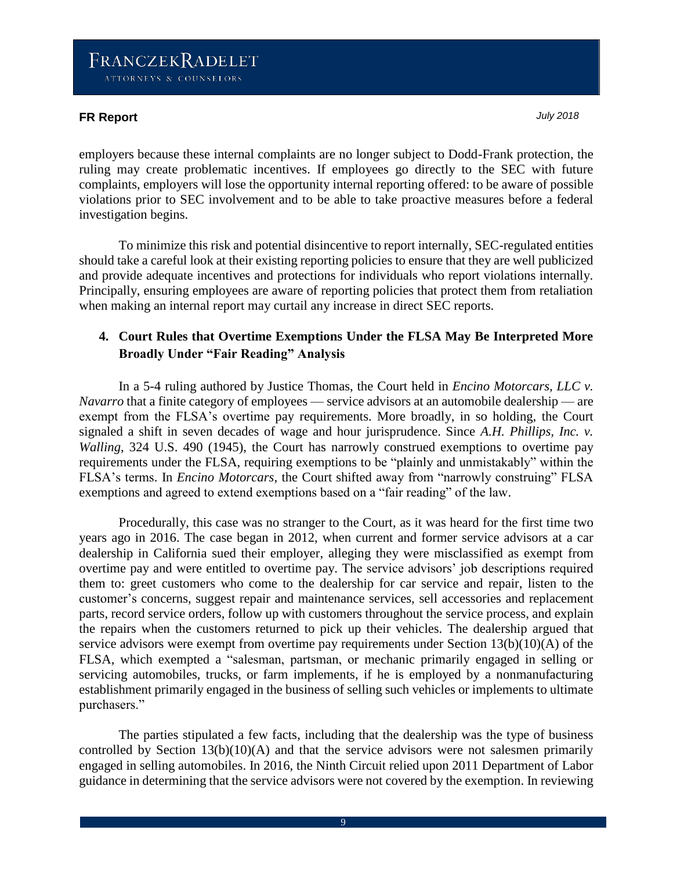employers because these internal complaints are no longer subject to Dodd-Frank protection, the ruling may create problematic incentives. If employees go directly to the SEC with future complaints, employers will lose the opportunity internal reporting offered: to be aware of possible violations prior to SEC involvement and to be able to take proactive measures before a federal investigation begins.

To minimize this risk and potential disincentive to report internally, SEC-regulated entities should take a careful look at their existing reporting policies to ensure that they are well publicized and provide adequate incentives and protections for individuals who report violations internally. Principally, ensuring employees are aware of reporting policies that protect them from retaliation when making an internal report may curtail any increase in direct SEC reports.

## **4. Court Rules that Overtime Exemptions Under the FLSA May Be Interpreted More Broadly Under "Fair Reading" Analysis**

In a 5-4 ruling authored by Justice Thomas, the Court held in *Encino Motorcars, LLC v. Navarro* that a finite category of employees — service advisors at an automobile dealership — are exempt from the FLSA's overtime pay requirements. More broadly, in so holding, the Court signaled a shift in seven decades of wage and hour jurisprudence. Since *A.H. Phillips, Inc. v. Walling*, 324 U.S. 490 (1945), the Court has narrowly construed exemptions to overtime pay requirements under the FLSA, requiring exemptions to be "plainly and unmistakably" within the FLSA's terms. In *Encino Motorcars,* the Court shifted away from "narrowly construing" FLSA exemptions and agreed to extend exemptions based on a "fair reading" of the law.

Procedurally, this case was no stranger to the Court, as it was heard for the first time two years ago in 2016. The case began in 2012, when current and former service advisors at a car dealership in California sued their employer, alleging they were misclassified as exempt from overtime pay and were entitled to overtime pay. The service advisors' job descriptions required them to: greet customers who come to the dealership for car service and repair, listen to the customer's concerns, suggest repair and maintenance services, sell accessories and replacement parts, record service orders, follow up with customers throughout the service process, and explain the repairs when the customers returned to pick up their vehicles. The dealership argued that service advisors were exempt from overtime pay requirements under Section 13(b)(10)(A) of the FLSA, which exempted a "salesman, partsman, or mechanic primarily engaged in selling or servicing automobiles, trucks, or farm implements, if he is employed by a nonmanufacturing establishment primarily engaged in the business of selling such vehicles or implements to ultimate purchasers."

The parties stipulated a few facts, including that the dealership was the type of business controlled by Section 13(b)(10)(A) and that the service advisors were not salesmen primarily engaged in selling automobiles. In 2016, the Ninth Circuit relied upon 2011 Department of Labor guidance in determining that the service advisors were not covered by the exemption. In reviewing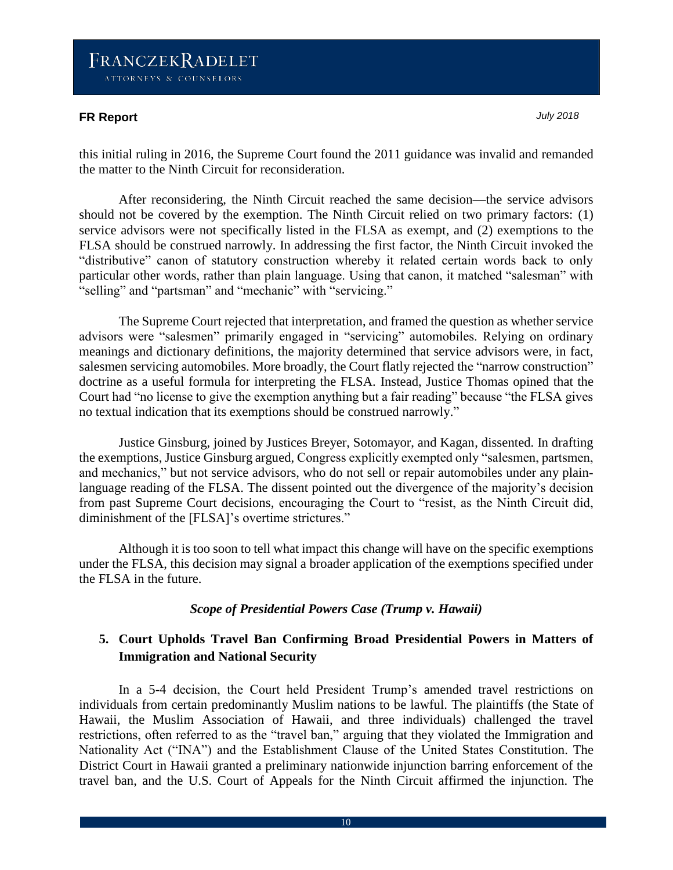#### **FR Report** *July 2018*

this initial ruling in 2016, the Supreme Court found the 2011 guidance was invalid and remanded the matter to the Ninth Circuit for reconsideration.

After reconsidering, the Ninth Circuit reached the same decision—the service advisors should not be covered by the exemption. The Ninth Circuit relied on two primary factors: (1) service advisors were not specifically listed in the FLSA as exempt, and (2) exemptions to the FLSA should be construed narrowly. In addressing the first factor, the Ninth Circuit invoked the "distributive" canon of statutory construction whereby it related certain words back to only particular other words, rather than plain language. Using that canon, it matched "salesman" with "selling" and "partsman" and "mechanic" with "servicing."

The Supreme Court rejected that interpretation, and framed the question as whether service advisors were "salesmen" primarily engaged in "servicing" automobiles. Relying on ordinary meanings and dictionary definitions, the majority determined that service advisors were, in fact, salesmen servicing automobiles. More broadly, the Court flatly rejected the "narrow construction" doctrine as a useful formula for interpreting the FLSA. Instead, Justice Thomas opined that the Court had "no license to give the exemption anything but a fair reading" because "the FLSA gives no textual indication that its exemptions should be construed narrowly."

Justice Ginsburg, joined by Justices Breyer, Sotomayor, and Kagan, dissented. In drafting the exemptions, Justice Ginsburg argued, Congress explicitly exempted only "salesmen, partsmen, and mechanics," but not service advisors, who do not sell or repair automobiles under any plainlanguage reading of the FLSA. The dissent pointed out the divergence of the majority's decision from past Supreme Court decisions, encouraging the Court to "resist, as the Ninth Circuit did, diminishment of the [FLSA]'s overtime strictures."

Although it is too soon to tell what impact this change will have on the specific exemptions under the FLSA, this decision may signal a broader application of the exemptions specified under the FLSA in the future.

#### *Scope of Presidential Powers Case (Trump v. Hawaii)*

### **5. Court Upholds Travel Ban Confirming Broad Presidential Powers in Matters of Immigration and National Security**

In a 5-4 decision, the Court held President Trump's amended travel restrictions on individuals from certain predominantly Muslim nations to be lawful. The plaintiffs (the State of Hawaii, the Muslim Association of Hawaii, and three individuals) challenged the travel restrictions, often referred to as the "travel ban," arguing that they violated the Immigration and Nationality Act ("INA") and the Establishment Clause of the United States Constitution. The District Court in Hawaii granted a preliminary nationwide injunction barring enforcement of the travel ban, and the U.S. Court of Appeals for the Ninth Circuit affirmed the injunction. The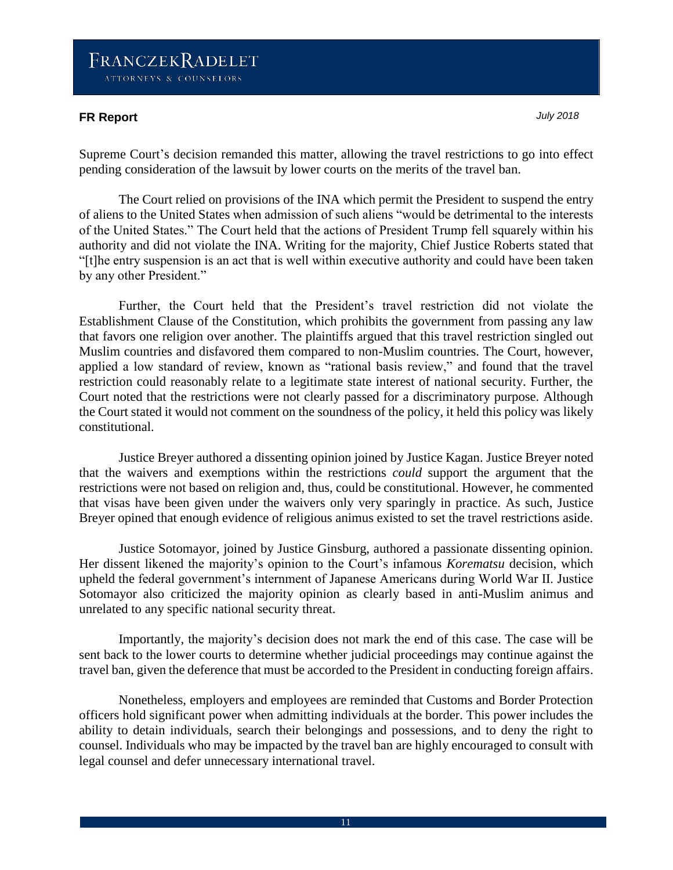#### **FR Report** *July 2018*

Supreme Court's decision remanded this matter, allowing the travel restrictions to go into effect pending consideration of the lawsuit by lower courts on the merits of the travel ban.

The Court relied on provisions of the INA which permit the President to suspend the entry of aliens to the United States when admission of such aliens "would be detrimental to the interests of the United States." The Court held that the actions of President Trump fell squarely within his authority and did not violate the INA. Writing for the majority, Chief Justice Roberts stated that "[t]he entry suspension is an act that is well within executive authority and could have been taken by any other President."

Further, the Court held that the President's travel restriction did not violate the Establishment Clause of the Constitution, which prohibits the government from passing any law that favors one religion over another. The plaintiffs argued that this travel restriction singled out Muslim countries and disfavored them compared to non-Muslim countries. The Court, however, applied a low standard of review, known as "rational basis review," and found that the travel restriction could reasonably relate to a legitimate state interest of national security. Further, the Court noted that the restrictions were not clearly passed for a discriminatory purpose. Although the Court stated it would not comment on the soundness of the policy, it held this policy was likely constitutional.

Justice Breyer authored a dissenting opinion joined by Justice Kagan. Justice Breyer noted that the waivers and exemptions within the restrictions *could* support the argument that the restrictions were not based on religion and, thus, could be constitutional. However, he commented that visas have been given under the waivers only very sparingly in practice. As such, Justice Breyer opined that enough evidence of religious animus existed to set the travel restrictions aside.

Justice Sotomayor, joined by Justice Ginsburg, authored a passionate dissenting opinion. Her dissent likened the majority's opinion to the Court's infamous *Korematsu* decision, which upheld the federal government's internment of Japanese Americans during World War II. Justice Sotomayor also criticized the majority opinion as clearly based in anti-Muslim animus and unrelated to any specific national security threat.

Importantly, the majority's decision does not mark the end of this case. The case will be sent back to the lower courts to determine whether judicial proceedings may continue against the travel ban, given the deference that must be accorded to the President in conducting foreign affairs.

Nonetheless, employers and employees are reminded that Customs and Border Protection officers hold significant power when admitting individuals at the border. This power includes the ability to detain individuals, search their belongings and possessions, and to deny the right to counsel. Individuals who may be impacted by the travel ban are highly encouraged to consult with legal counsel and defer unnecessary international travel.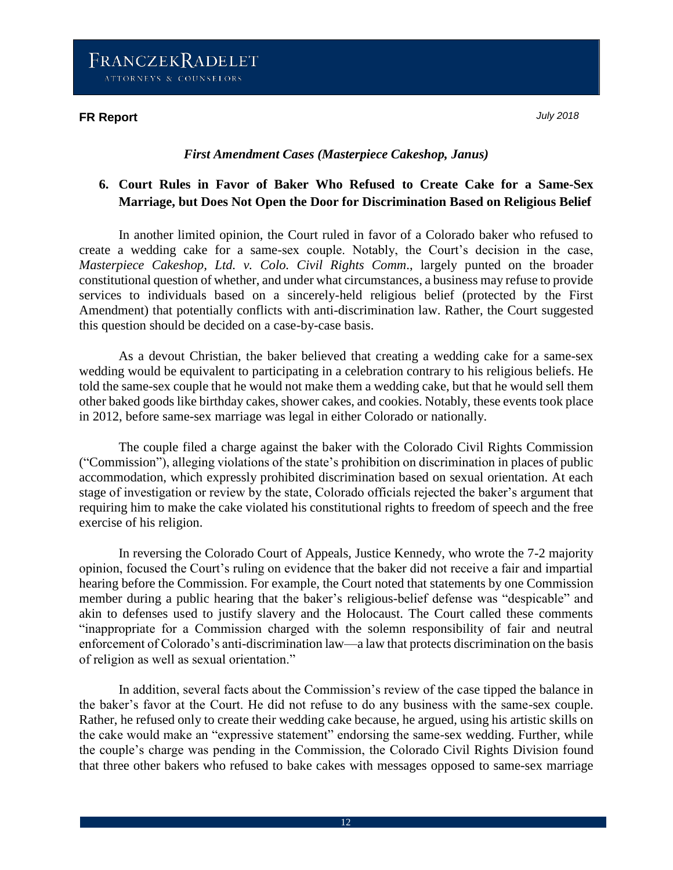#### *First Amendment Cases (Masterpiece Cakeshop, Janus)*

## **6. Court Rules in Favor of Baker Who Refused to Create Cake for a Same-Sex Marriage, but Does Not Open the Door for Discrimination Based on Religious Belief**

In another limited opinion, the Court ruled in favor of a Colorado baker who refused to create a wedding cake for a same-sex couple. Notably, the Court's decision in the case, *Masterpiece Cakeshop, Ltd. v. Colo. Civil Rights Comm*., largely punted on the broader constitutional question of whether, and under what circumstances, a business may refuse to provide services to individuals based on a sincerely-held religious belief (protected by the First Amendment) that potentially conflicts with anti-discrimination law. Rather, the Court suggested this question should be decided on a case-by-case basis.

As a devout Christian, the baker believed that creating a wedding cake for a same-sex wedding would be equivalent to participating in a celebration contrary to his religious beliefs. He told the same-sex couple that he would not make them a wedding cake, but that he would sell them other baked goods like birthday cakes, shower cakes, and cookies. Notably, these events took place in 2012, before same-sex marriage was legal in either Colorado or nationally.

The couple filed a charge against the baker with the Colorado Civil Rights Commission ("Commission"), alleging violations of the state's prohibition on discrimination in places of public accommodation, which expressly prohibited discrimination based on sexual orientation. At each stage of investigation or review by the state, Colorado officials rejected the baker's argument that requiring him to make the cake violated his constitutional rights to freedom of speech and the free exercise of his religion.

In reversing the Colorado Court of Appeals, Justice Kennedy, who wrote the 7-2 majority opinion, focused the Court's ruling on evidence that the baker did not receive a fair and impartial hearing before the Commission. For example, the Court noted that statements by one Commission member during a public hearing that the baker's religious-belief defense was "despicable" and akin to defenses used to justify slavery and the Holocaust. The Court called these comments "inappropriate for a Commission charged with the solemn responsibility of fair and neutral enforcement of Colorado's anti-discrimination law—a law that protects discrimination on the basis of religion as well as sexual orientation."

In addition, several facts about the Commission's review of the case tipped the balance in the baker's favor at the Court. He did not refuse to do any business with the same-sex couple. Rather, he refused only to create their wedding cake because, he argued, using his artistic skills on the cake would make an "expressive statement" endorsing the same-sex wedding. Further, while the couple's charge was pending in the Commission, the Colorado Civil Rights Division found that three other bakers who refused to bake cakes with messages opposed to same-sex marriage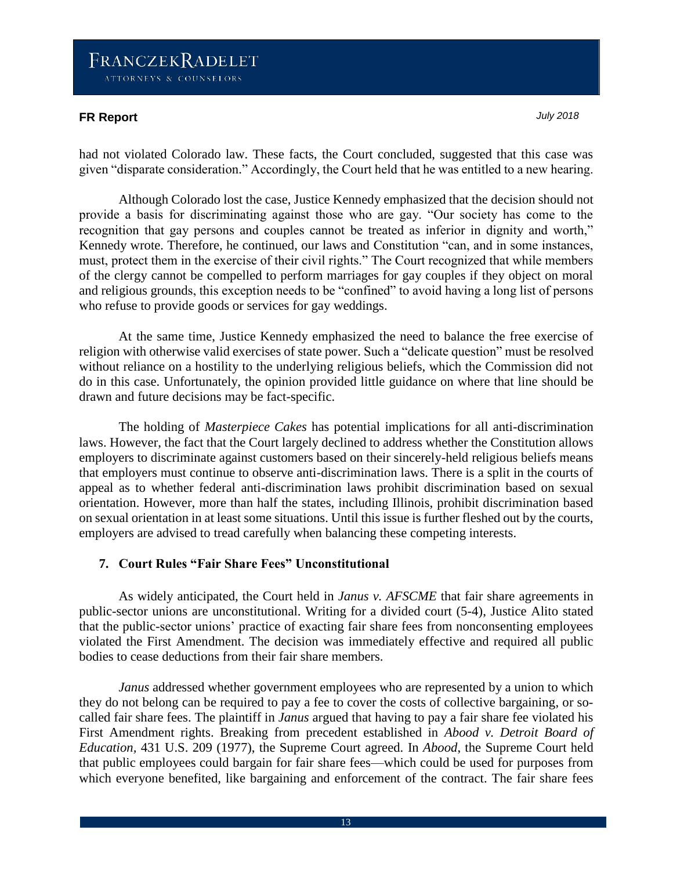#### **FR Report** *July 2018*

had not violated Colorado law. These facts, the Court concluded, suggested that this case was given "disparate consideration." Accordingly, the Court held that he was entitled to a new hearing.

Although Colorado lost the case, Justice Kennedy emphasized that the decision should not provide a basis for discriminating against those who are gay. "Our society has come to the recognition that gay persons and couples cannot be treated as inferior in dignity and worth," Kennedy wrote. Therefore, he continued, our laws and Constitution "can, and in some instances, must, protect them in the exercise of their civil rights." The Court recognized that while members of the clergy cannot be compelled to perform marriages for gay couples if they object on moral and religious grounds, this exception needs to be "confined" to avoid having a long list of persons who refuse to provide goods or services for gay weddings.

At the same time, Justice Kennedy emphasized the need to balance the free exercise of religion with otherwise valid exercises of state power. Such a "delicate question" must be resolved without reliance on a hostility to the underlying religious beliefs, which the Commission did not do in this case. Unfortunately, the opinion provided little guidance on where that line should be drawn and future decisions may be fact-specific.

The holding of *Masterpiece Cakes* has potential implications for all anti-discrimination laws. However, the fact that the Court largely declined to address whether the Constitution allows employers to discriminate against customers based on their sincerely-held religious beliefs means that employers must continue to observe anti-discrimination laws. There is a split in the courts of appeal as to whether federal anti-discrimination laws prohibit discrimination based on sexual orientation. However, more than half the states, including Illinois, prohibit discrimination based on sexual orientation in at least some situations. Until this issue is further fleshed out by the courts, employers are advised to tread carefully when balancing these competing interests.

#### **7. Court Rules "Fair Share Fees" Unconstitutional**

As widely anticipated, the Court held in *Janus v. AFSCME* that fair share agreements in public-sector unions are unconstitutional. Writing for a divided court (5-4), Justice Alito stated that the public-sector unions' practice of exacting fair share fees from nonconsenting employees violated the First Amendment. The decision was immediately effective and required all public bodies to cease deductions from their fair share members.

*Janus* addressed whether government employees who are represented by a union to which they do not belong can be required to pay a fee to cover the costs of collective bargaining, or socalled fair share fees. The plaintiff in *Janus* argued that having to pay a fair share fee violated his First Amendment rights. Breaking from precedent established in *Abood v. Detroit Board of Education,* 431 U.S. 209 (1977), the Supreme Court agreed. In *Abood*, the Supreme Court held that public employees could bargain for fair share fees—which could be used for purposes from which everyone benefited, like bargaining and enforcement of the contract. The fair share fees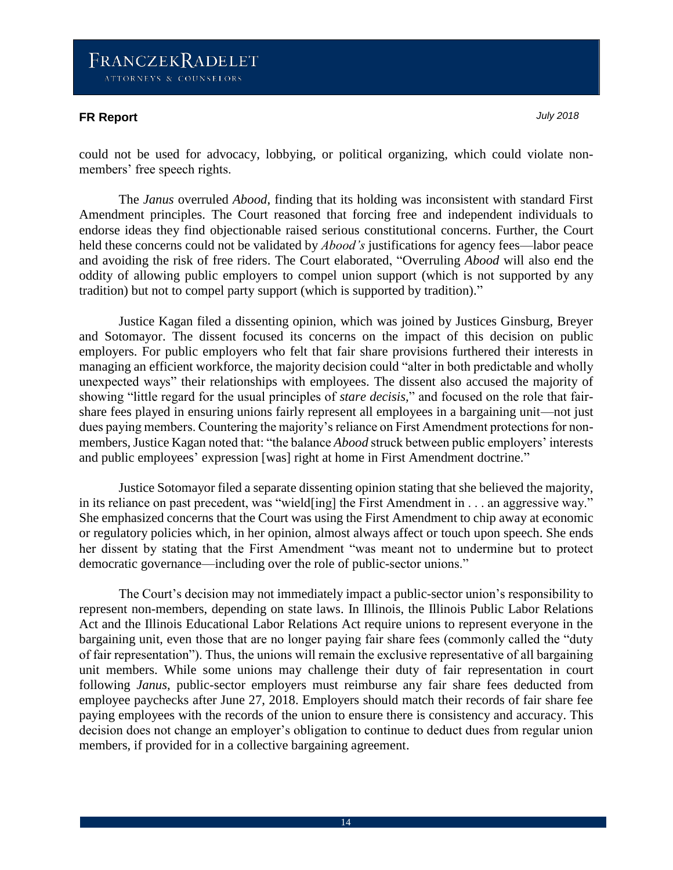#### **FR Report** *July 2018*

could not be used for advocacy, lobbying, or political organizing, which could violate nonmembers' free speech rights.

The *Janus* overruled *Abood*, finding that its holding was inconsistent with standard First Amendment principles. The Court reasoned that forcing free and independent individuals to endorse ideas they find objectionable raised serious constitutional concerns. Further, the Court held these concerns could not be validated by *Abood's* justifications for agency fees—labor peace and avoiding the risk of free riders. The Court elaborated, "Overruling *Abood* will also end the oddity of allowing public employers to compel union support (which is not supported by any tradition) but not to compel party support (which is supported by tradition)."

Justice Kagan filed a dissenting opinion, which was joined by Justices Ginsburg, Breyer and Sotomayor. The dissent focused its concerns on the impact of this decision on public employers. For public employers who felt that fair share provisions furthered their interests in managing an efficient workforce, the majority decision could "alter in both predictable and wholly unexpected ways" their relationships with employees. The dissent also accused the majority of showing "little regard for the usual principles of *stare decisis,*" and focused on the role that fairshare fees played in ensuring unions fairly represent all employees in a bargaining unit—not just dues paying members. Countering the majority's reliance on First Amendment protections for nonmembers, Justice Kagan noted that: "the balance *Abood* struck between public employers' interests and public employees' expression [was] right at home in First Amendment doctrine."

Justice Sotomayor filed a separate dissenting opinion stating that she believed the majority, in its reliance on past precedent, was "wield[ing] the First Amendment in . . . an aggressive way." She emphasized concerns that the Court was using the First Amendment to chip away at economic or regulatory policies which, in her opinion, almost always affect or touch upon speech. She ends her dissent by stating that the First Amendment "was meant not to undermine but to protect democratic governance—including over the role of public-sector unions."

The Court's decision may not immediately impact a public-sector union's responsibility to represent non-members, depending on state laws. In Illinois, the Illinois Public Labor Relations Act and the Illinois Educational Labor Relations Act require unions to represent everyone in the bargaining unit, even those that are no longer paying fair share fees (commonly called the "duty of fair representation"). Thus, the unions will remain the exclusive representative of all bargaining unit members. While some unions may challenge their duty of fair representation in court following *Janus*, public-sector employers must reimburse any fair share fees deducted from employee paychecks after June 27, 2018. Employers should match their records of fair share fee paying employees with the records of the union to ensure there is consistency and accuracy. This decision does not change an employer's obligation to continue to deduct dues from regular union members, if provided for in a collective bargaining agreement.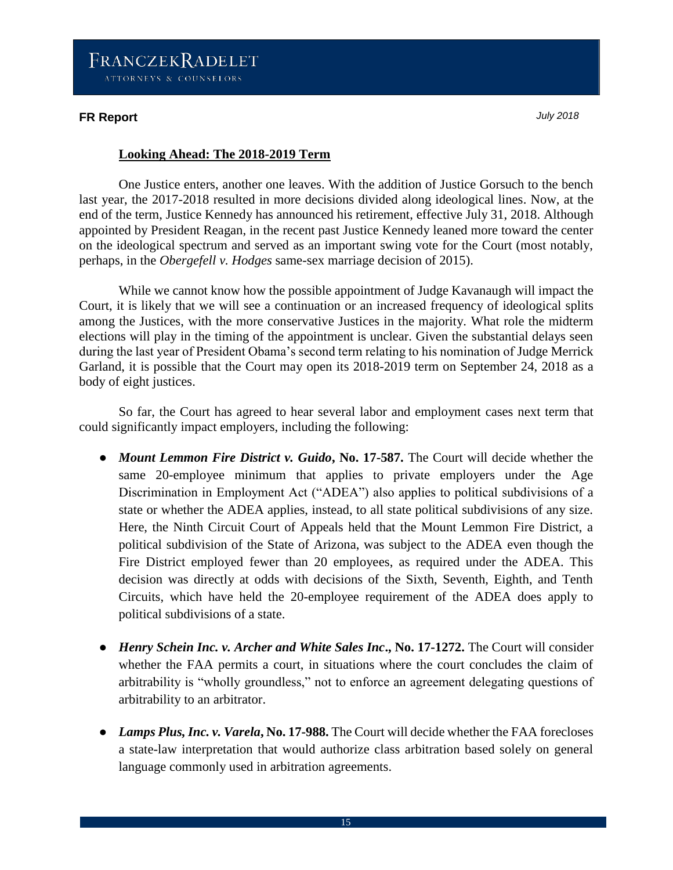### **FR Report** *July 2018*

#### **Looking Ahead: The 2018-2019 Term**

One Justice enters, another one leaves. With the addition of Justice Gorsuch to the bench last year, the 2017-2018 resulted in more decisions divided along ideological lines. Now, at the end of the term, Justice Kennedy has announced his retirement, effective July 31, 2018. Although appointed by President Reagan, in the recent past Justice Kennedy leaned more toward the center on the ideological spectrum and served as an important swing vote for the Court (most notably, perhaps, in the *Obergefell v. Hodges* same-sex marriage decision of 2015).

While we cannot know how the possible appointment of Judge Kavanaugh will impact the Court, it is likely that we will see a continuation or an increased frequency of ideological splits among the Justices, with the more conservative Justices in the majority. What role the midterm elections will play in the timing of the appointment is unclear. Given the substantial delays seen during the last year of President Obama's second term relating to his nomination of Judge Merrick Garland, it is possible that the Court may open its 2018-2019 term on September 24, 2018 as a body of eight justices.

So far, the Court has agreed to hear several labor and employment cases next term that could significantly impact employers, including the following:

- *Mount Lemmon Fire District v. Guido*, No. 17-587. The Court will decide whether the same 20-employee minimum that applies to private employers under the Age Discrimination in Employment Act ("ADEA") also applies to political subdivisions of a state or whether the ADEA applies, instead, to all state political subdivisions of any size. Here, the Ninth Circuit Court of Appeals held that the Mount Lemmon Fire District, a political subdivision of the State of Arizona, was subject to the ADEA even though the Fire District employed fewer than 20 employees, as required under the ADEA. This decision was directly at odds with decisions of the Sixth, Seventh, Eighth, and Tenth Circuits, which have held the 20-employee requirement of the ADEA does apply to political subdivisions of a state.
- *Henry Schein Inc. v. Archer and White Sales Inc***., No. 17-1272.** The Court will consider whether the FAA permits a court, in situations where the court concludes the claim of arbitrability is "wholly groundless," not to enforce an agreement delegating questions of arbitrability to an arbitrator.
- *Lamps Plus, Inc. v. Varela***, No. 17-988.** The Court will decide whether the FAA forecloses a state-law interpretation that would authorize class arbitration based solely on general language commonly used in arbitration agreements.